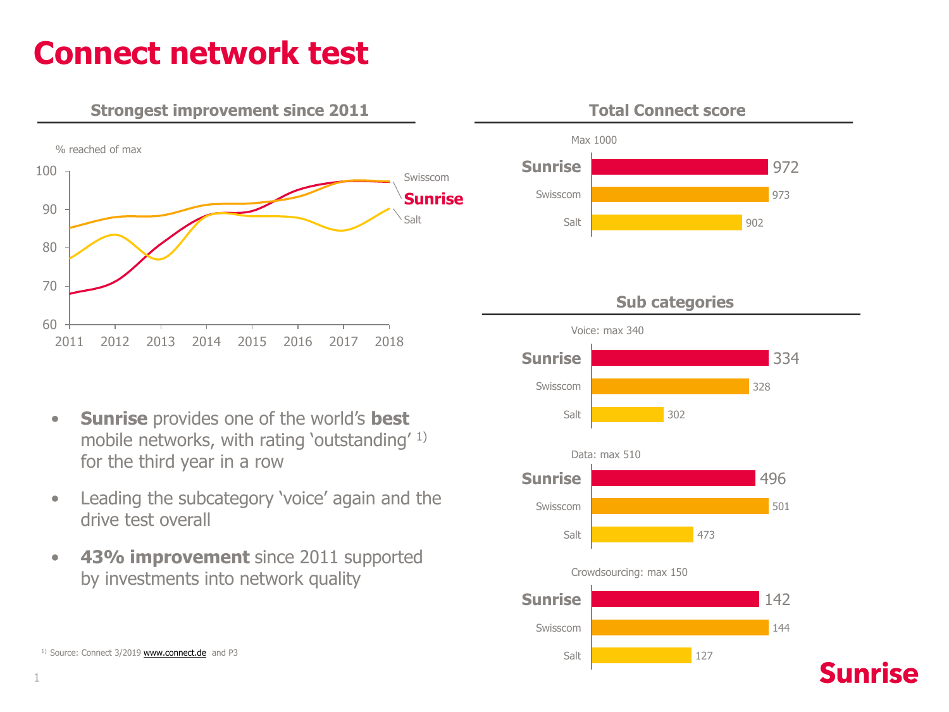## **Connect network test**





- **Sunrise** provides one of the world's **best** mobile networks, with rating 'outstanding' 1) for the third year in a row
- Leading the subcategory 'voice' again and the drive test overall
- **43% improvement** since 2011 supported by investments into network quality

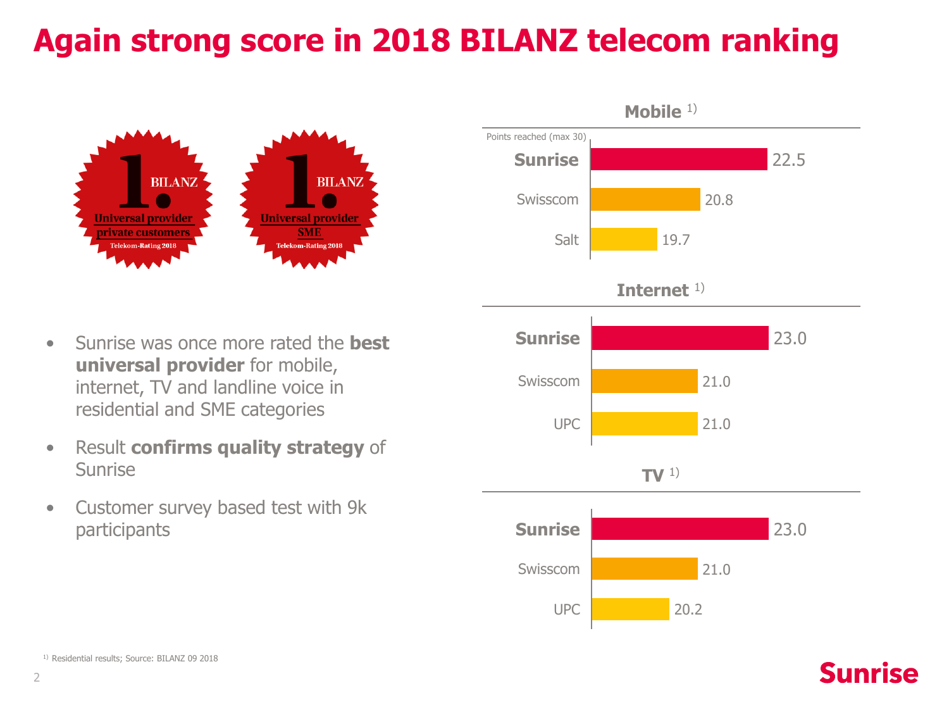# **Again strong score in 2018 BILANZ telecom ranking**



- Sunrise was once more rated the **best universal provider** for mobile, internet, TV and landline voice in residential and SME categories
- Result **confirms quality strategy** of Sunrise
- Customer survey based test with 9k participants



#### 1) Residential results; Source: BILANZ 09 2018